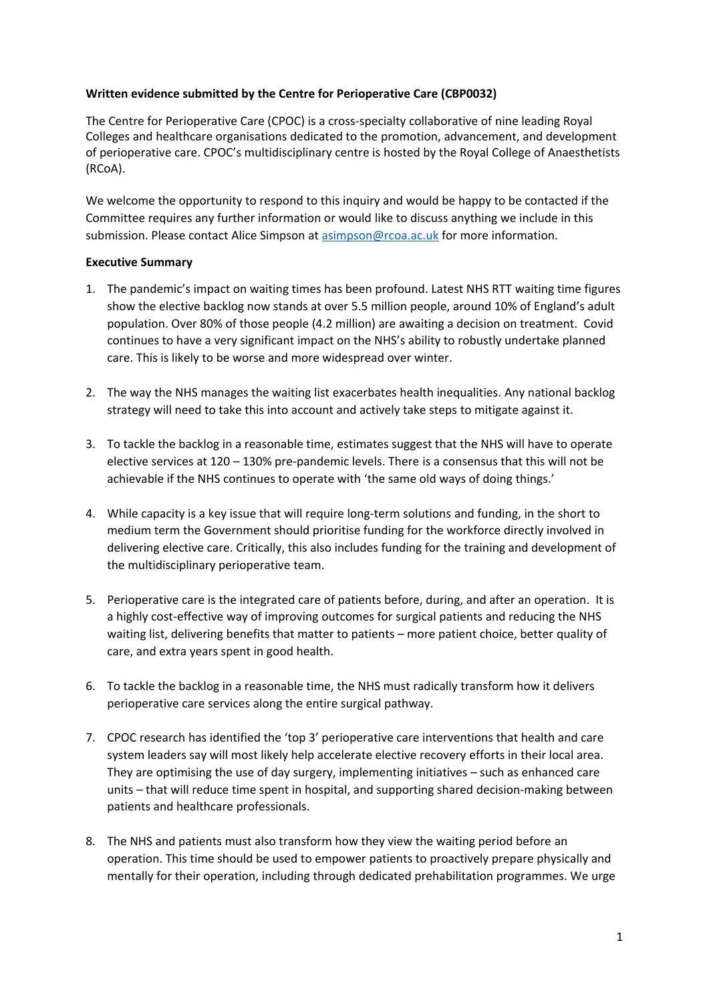## **Written evidence submitted by the Centre for Perioperative Care (CBP0032)**

The Centre for Perioperative Care (CPOC) is a cross-specialty collaborative of nine leading Royal Colleges and healthcare organisations dedicated to the promotion, advancement, and development of perioperative care. CPOC's multidisciplinary centre is hosted by the Royal College of Anaesthetists (RCoA).

We welcome the opportunity to respond to this inquiry and would be happy to be contacted if the Committee requires any further information or would like to discuss anything we include in this submission. Please contact Alice Simpson at [asimpson@rcoa.ac.uk](mailto:asimpson@rcoa.ac.uk) for more information.

## **Executive Summary**

- 1. The pandemic's impact on waiting times has been profound. Latest NHS RTT waiting time figures show the elective backlog now stands at over 5.5 million people, around 10% of England's adult population. Over 80% of those people (4.2 million) are awaiting a decision on treatment. Covid continues to have a very significant impact on the NHS's ability to robustly undertake planned care. This is likely to be worse and more widespread over winter.
- 2. The way the NHS manages the waiting list exacerbates health inequalities. Any national backlog strategy will need to take this into account and actively take steps to mitigate against it.
- 3. To tackle the backlog in a reasonable time, estimates suggest that the NHS will have to operate elective services at 120 – 130% pre-pandemic levels. There is a consensus that this will not be achievable if the NHS continues to operate with 'the same old ways of doing things.'
- 4. While capacity is a key issue that will require long-term solutions and funding, in the short to medium term the Government should prioritise funding for the workforce directly involved in delivering elective care. Critically, this also includes funding for the training and development of the multidisciplinary perioperative team.
- 5. Perioperative care is the integrated care of patients before, during, and after an operation. It is a highly cost-effective way of improving outcomes for surgical patients and reducing the NHS waiting list, delivering benefits that matter to patients – more patient choice, better quality of care, and extra years spent in good health.
- 6. To tackle the backlog in a reasonable time, the NHS must radically transform how it delivers perioperative care services along the entire surgical pathway.
- 7. CPOC research has identified the 'top 3' perioperative care interventions that health and care system leaders say will most likely help accelerate elective recovery efforts in their local area. They are optimising the use of day surgery, implementing initiatives – such as enhanced care units – that will reduce time spent in hospital, and supporting shared decision-making between patients and healthcare professionals.
- 8. The NHS and patients must also transform how they view the waiting period before an operation. This time should be used to empower patients to proactively prepare physically and mentally for their operation, including through dedicated prehabilitation programmes. We urge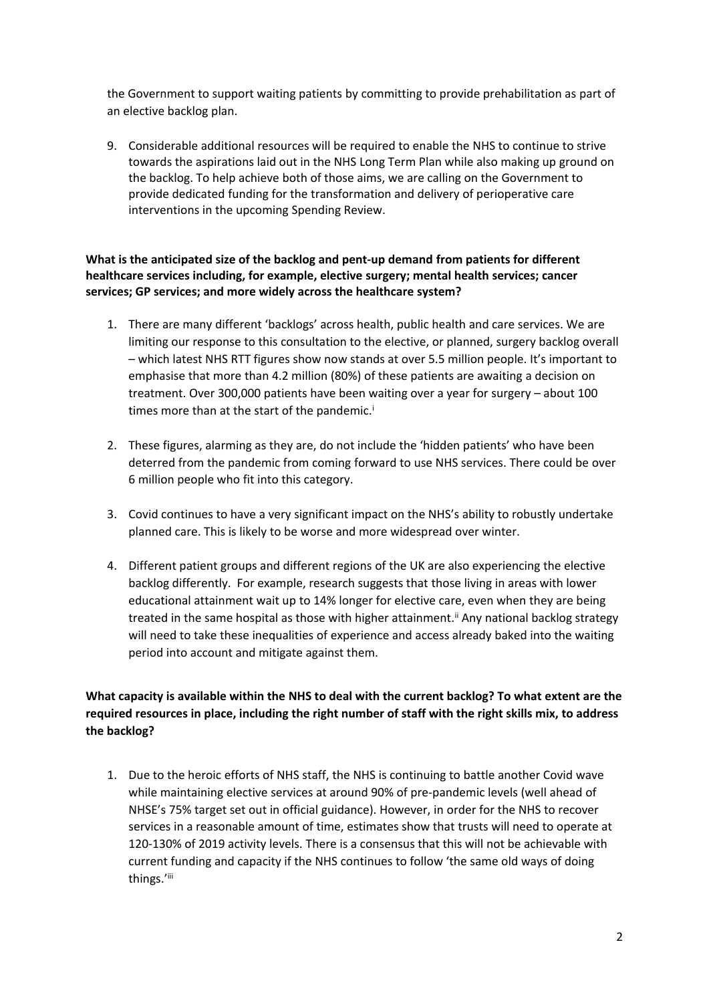the Government to support waiting patients by committing to provide prehabilitation as part of an elective backlog plan.

9. Considerable additional resources will be required to enable the NHS to continue to strive towards the aspirations laid out in the NHS Long Term Plan while also making up ground on the backlog. To help achieve both of those aims, we are calling on the Government to provide dedicated funding for the transformation and delivery of perioperative care interventions in the upcoming Spending Review.

# **What is the anticipated size of the backlog and pent-up demand from patients for different healthcare services including, for example, elective surgery; mental health services; cancer services; GP services; and more widely across the healthcare system?**

- 1. There are many different 'backlogs' across health, public health and care services. We are limiting our response to this consultation to the elective, or planned, surgery backlog overall – which latest NHS RTT figures show now stands at over 5.5 million people. It's important to emphasise that more than 4.2 million (80%) of these patients are awaiting a decision on treatment. Over 300,000 patients have been waiting over a year for surgery – about 100 times more than at the start of the pandemic.<sup>i</sup>
- 2. These figures, alarming as they are, do not include the 'hidden patients' who have been deterred from the pandemic from coming forward to use NHS services. There could be over 6 million people who fit into this category.
- 3. Covid continues to have a very significant impact on the NHS's ability to robustly undertake planned care. This is likely to be worse and more widespread over winter.
- 4. Different patient groups and different regions of the UK are also experiencing the elective backlog differently. For example, research suggests that those living in areas with lower educational attainment wait up to 14% longer for elective care, even when they are being treated in the same hospital as those with higher attainment.<sup>ii</sup> Any national backlog strategy will need to take these inequalities of experience and access already baked into the waiting period into account and mitigate against them.

# **What capacity is available within the NHS to deal with the current backlog? To what extent are the required resources in place, including the right number of staff with the right skills mix, to address the backlog?**

1. Due to the heroic efforts of NHS staff, the NHS is continuing to battle another Covid wave while maintaining elective services at around 90% of pre-pandemic levels (well ahead of NHSE's 75% target set out in official guidance). However, in order for the NHS to recover services in a reasonable amount of time, estimates show that trusts will need to operate at 120-130% of 2019 activity levels. There is a consensus that this will not be achievable with current funding and capacity if the NHS continues to follow 'the same old ways of doing things.'iii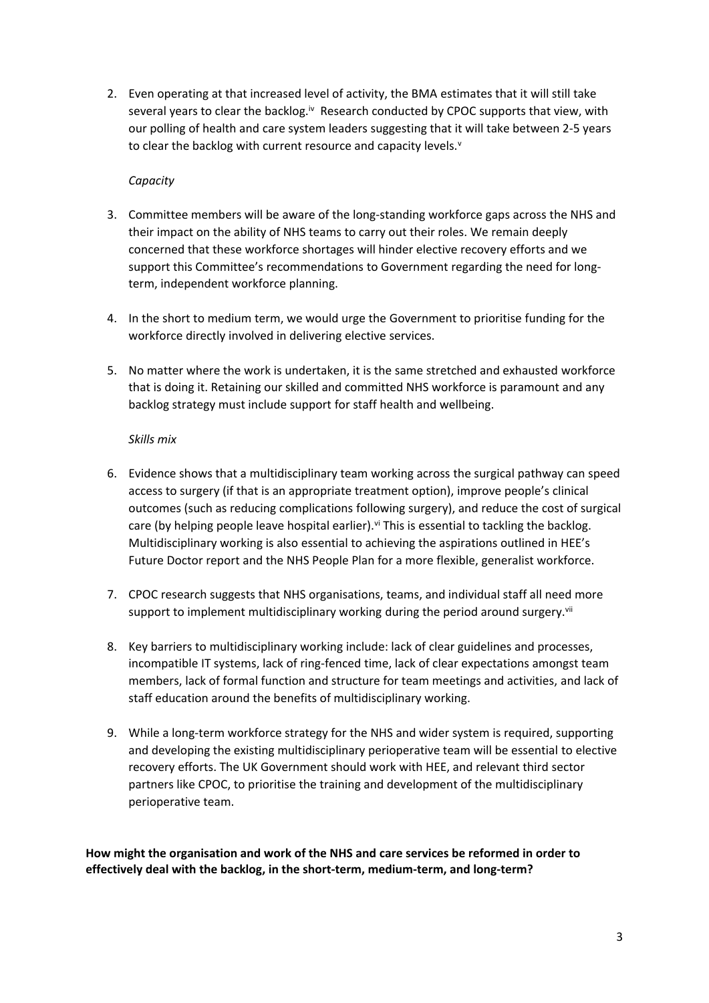2. Even operating at that increased level of activity, the BMA estimates that it will still take several years to clear the backlog.<sup>iv</sup> Research conducted by CPOC supports that view, with our polling of health and care system leaders suggesting that it will take between 2-5 years to clear the backlog with current resource and capacity levels.<sup>v</sup>

# *Capacity*

- 3. Committee members will be aware of the long-standing workforce gaps across the NHS and their impact on the ability of NHS teams to carry out their roles. We remain deeply concerned that these workforce shortages will hinder elective recovery efforts and we support this Committee's recommendations to Government regarding the need for longterm, independent workforce planning.
- 4. In the short to medium term, we would urge the Government to prioritise funding for the workforce directly involved in delivering elective services.
- 5. No matter where the work is undertaken, it is the same stretched and exhausted workforce that is doing it. Retaining our skilled and committed NHS workforce is paramount and any backlog strategy must include support for staff health and wellbeing.

## *Skills mix*

- 6. Evidence shows that a multidisciplinary team working across the surgical pathway can speed access to surgery (if that is an appropriate treatment option), improve people's clinical outcomes (such as reducing complications following surgery), and reduce the cost of surgical care (by helping people leave hospital earlier).<sup>vi</sup> This is essential to tackling the backlog. Multidisciplinary working is also essential to achieving the aspirations outlined in HEE's Future Doctor report and the NHS People Plan for a more flexible, generalist workforce.
- 7. CPOC research suggests that NHS organisations, teams, and individual staff all need more support to implement multidisciplinary working during the period around surgery.<sup>vii</sup>
- 8. Key barriers to multidisciplinary working include: lack of clear guidelines and processes, incompatible IT systems, lack of ring-fenced time, lack of clear expectations amongst team members, lack of formal function and structure for team meetings and activities, and lack of staff education around the benefits of multidisciplinary working.
- 9. While a long-term workforce strategy for the NHS and wider system is required, supporting and developing the existing multidisciplinary perioperative team will be essential to elective recovery efforts. The UK Government should work with HEE, and relevant third sector partners like CPOC, to prioritise the training and development of the multidisciplinary perioperative team.

**How might the organisation and work of the NHS and care services be reformed in order to effectively deal with the backlog, in the short-term, medium-term, and long-term?**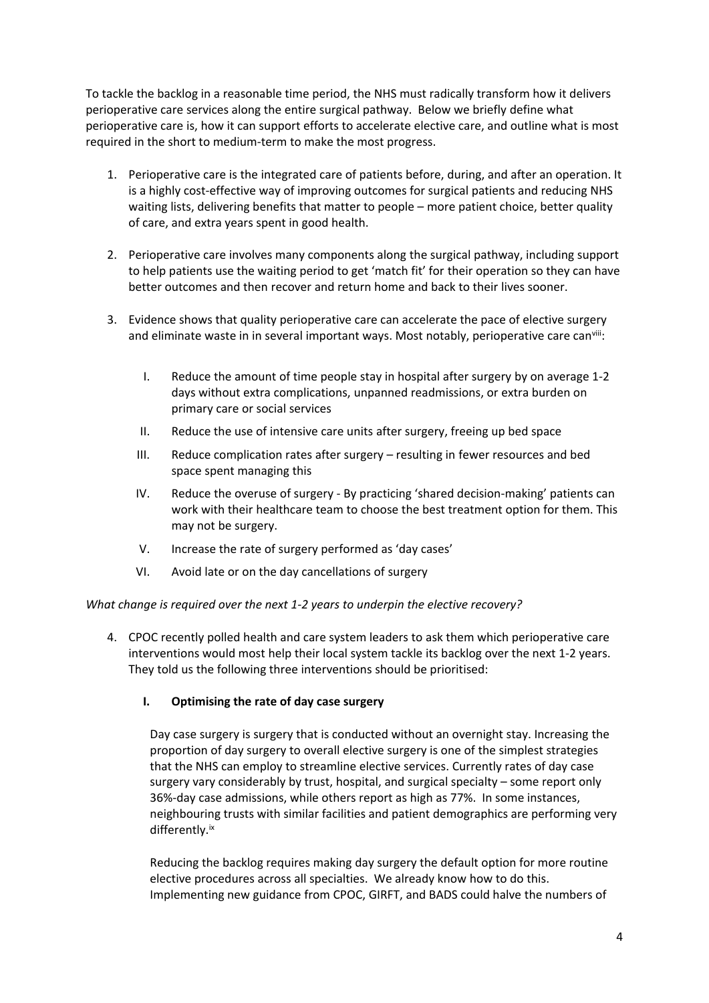To tackle the backlog in a reasonable time period, the NHS must radically transform how it delivers perioperative care services along the entire surgical pathway. Below we briefly define what perioperative care is, how it can support efforts to accelerate elective care, and outline what is most required in the short to medium-term to make the most progress.

- 1. Perioperative care is the integrated care of patients before, during, and after an operation. It is a highly cost-effective way of improving outcomes for surgical patients and reducing NHS waiting lists, delivering benefits that matter to people – more patient choice, better quality of care, and extra years spent in good health.
- 2. Perioperative care involves many components along the surgical pathway, including support to help patients use the waiting period to get 'match fit' for their operation so they can have better outcomes and then recover and return home and back to their lives sooner.
- 3. Evidence shows that quality perioperative care can accelerate the pace of elective surgery and eliminate waste in in several important ways. Most notably, perioperative care canvill:
	- I. Reduce the amount of time people stay in hospital after surgery by on average 1-2 days without extra complications, unpanned readmissions, or extra burden on primary care or social services
	- II. Reduce the use of intensive care units after surgery, freeing up bed space
	- III. Reduce complication rates after surgery resulting in fewer resources and bed space spent managing this
	- IV. Reduce the overuse of surgery By practicing 'shared decision-making' patients can work with their healthcare team to choose the best treatment option for them. This may not be surgery.
	- V. Increase the rate of surgery performed as 'day cases'
	- VI. Avoid late or on the day cancellations of surgery

*What change is required over the next 1-2 years to underpin the elective recovery?*

4. CPOC recently polled health and care system leaders to ask them which perioperative care interventions would most help their local system tackle its backlog over the next 1-2 years. They told us the following three interventions should be prioritised:

# **I. Optimising the rate of day case surgery**

Day case surgery is surgery that is conducted without an overnight stay. Increasing the proportion of day surgery to overall elective surgery is one of the simplest strategies that the NHS can employ to streamline elective services. Currently rates of day case surgery vary considerably by trust, hospital, and surgical specialty – some report only 36%-day case admissions, while others report as high as 77%. In some instances, neighbouring trusts with similar facilities and patient demographics are performing very differently.ix

Reducing the backlog requires making day surgery the default option for more routine elective procedures across all specialties. We already know how to do this. Implementing new guidance from CPOC, GIRFT, and BADS could halve the numbers of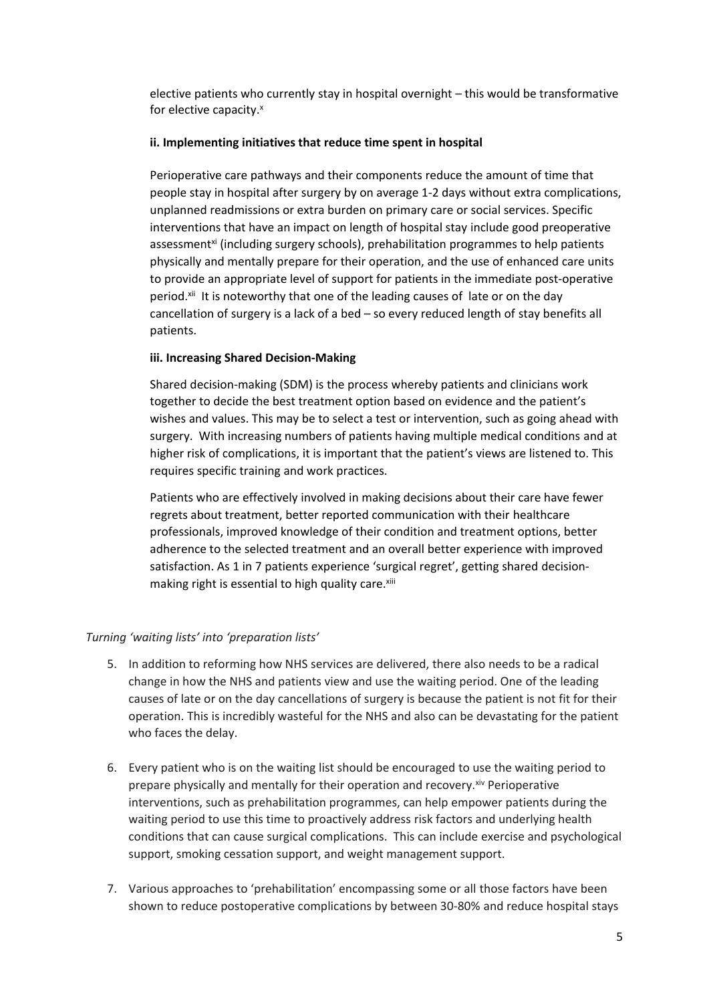elective patients who currently stay in hospital overnight – this would be transformative for elective capacity.<sup>x</sup>

#### **ii. Implementing initiatives that reduce time spent in hospital**

Perioperative care pathways and their components reduce the amount of time that people stay in hospital after surgery by on average 1-2 days without extra complications, unplanned readmissions or extra burden on primary care or social services. Specific interventions that have an impact on length of hospital stay include good preoperative assessment<sup>xi</sup> (including surgery schools), prehabilitation programmes to help patients physically and mentally prepare for their operation, and the use of enhanced care units to provide an appropriate level of support for patients in the immediate post-operative period.<sup>xii</sup> It is noteworthy that one of the leading causes of late or on the day cancellation of surgery is a lack of a bed – so every reduced length of stay benefits all patients.

#### **iii. Increasing Shared Decision-Making**

Shared decision-making (SDM) is the process whereby patients and clinicians work together to decide the best treatment option based on evidence and the patient's wishes and values. This may be to select a test or intervention, such as going ahead with surgery. With increasing numbers of patients having multiple medical conditions and at higher risk of complications, it is important that the patient's views are listened to. This requires specific training and work practices.

Patients who are effectively involved in making decisions about their care have fewer regrets about treatment, better reported communication with their healthcare professionals, improved knowledge of their condition and treatment options, better adherence to the selected treatment and an overall better experience with improved satisfaction. As 1 in 7 patients experience 'surgical regret', getting shared decisionmaking right is essential to high quality care.<sup>xiii</sup>

#### *Turning 'waiting lists' into 'preparation lists'*

- 5. In addition to reforming how NHS services are delivered, there also needs to be a radical change in how the NHS and patients view and use the waiting period. One of the leading causes of late or on the day cancellations of surgery is because the patient is not fit for their operation. This is incredibly wasteful for the NHS and also can be devastating for the patient who faces the delay.
- 6. Every patient who is on the waiting list should be encouraged to use the waiting period to prepare physically and mentally for their operation and recovery. Xiv Perioperative interventions, such as prehabilitation programmes, can help empower patients during the waiting period to use this time to proactively address risk factors and underlying health conditions that can cause surgical complications. This can include exercise and psychological support, smoking cessation support, and weight management support.
- 7. Various approaches to 'prehabilitation' encompassing some or all those factors have been shown to reduce postoperative complications by between 30-80% and reduce hospital stays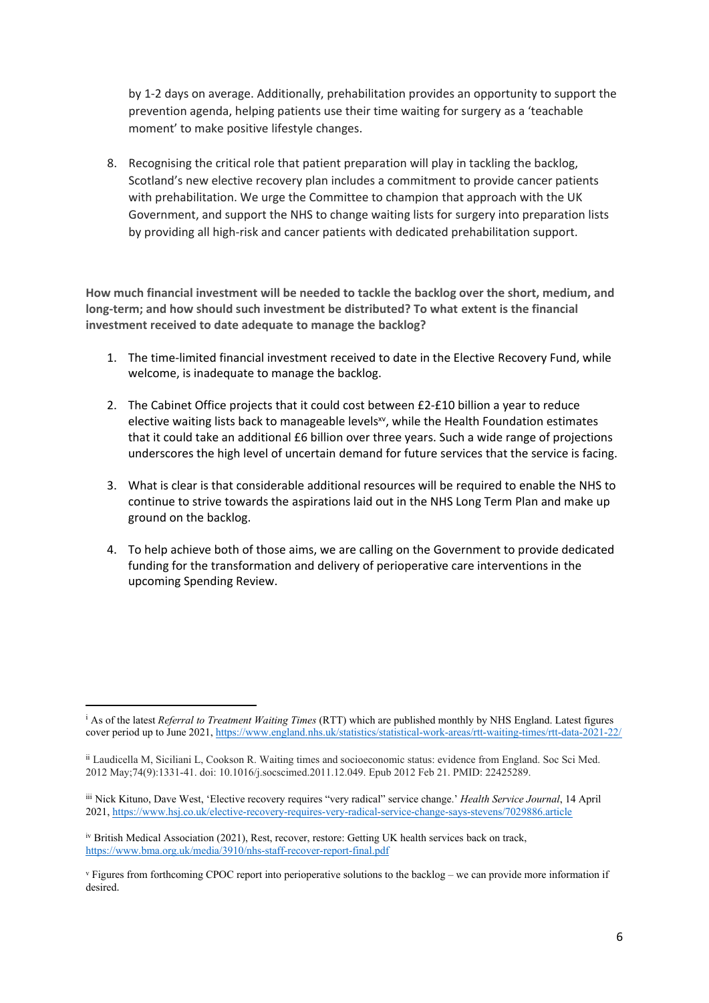by 1-2 days on average. Additionally, prehabilitation provides an opportunity to support the prevention agenda, helping patients use their time waiting for surgery as a 'teachable moment' to make positive lifestyle changes.

8. Recognising the critical role that patient preparation will play in tackling the backlog, Scotland's new elective recovery plan includes a commitment to provide cancer patients with prehabilitation. We urge the Committee to champion that approach with the UK Government, and support the NHS to change waiting lists for surgery into preparation lists by providing all high-risk and cancer patients with dedicated prehabilitation support.

**How much financial investment will be needed to tackle the backlog over the short, medium, and long-term; and how should such investment be distributed? To what extent is the financial investment received to date adequate to manage the backlog?**

- 1. The time-limited financial investment received to date in the Elective Recovery Fund, while welcome, is inadequate to manage the backlog.
- 2. The Cabinet Office projects that it could cost between £2-£10 billion a year to reduce elective waiting lists back to manageable levels<sup>xv</sup>, while the Health Foundation estimates that it could take an additional £6 billion over three years. Such a wide range of projections underscores the high level of uncertain demand for future services that the service is facing.
- 3. What is clear is that considerable additional resources will be required to enable the NHS to continue to strive towards the aspirations laid out in the NHS Long Term Plan and make up ground on the backlog.
- 4. To help achieve both of those aims, we are calling on the Government to provide dedicated funding for the transformation and delivery of perioperative care interventions in the upcoming Spending Review.

<sup>i</sup> As of the latest *Referral to Treatment Waiting Times* (RTT) which are published monthly by NHS England. Latest figures cover period up to June 2021, <https://www.england.nhs.uk/statistics/statistical-work-areas/rtt-waiting-times/rtt-data-2021-22/>

ii Laudicella M, Siciliani L, Cookson R. Waiting times and socioeconomic status: evidence from England. Soc Sci Med. 2012 May;74(9):1331-41. doi: 10.1016/j.socscimed.2011.12.049. Epub 2012 Feb 21. PMID: 22425289.

iii Nick Kituno, Dave West, 'Elective recovery requires "very radical" service change.' *Health Service Journal*, 14 April 2021, <https://www.hsj.co.uk/elective-recovery-requires-very-radical-service-change-says-stevens/7029886.article>

iv British Medical Association (2021), Rest, recover, restore: Getting UK health services back on track, <https://www.bma.org.uk/media/3910/nhs-staff-recover-report-final.pdf>

<sup>v</sup> Figures from forthcoming CPOC report into perioperative solutions to the backlog – we can provide more information if desired.